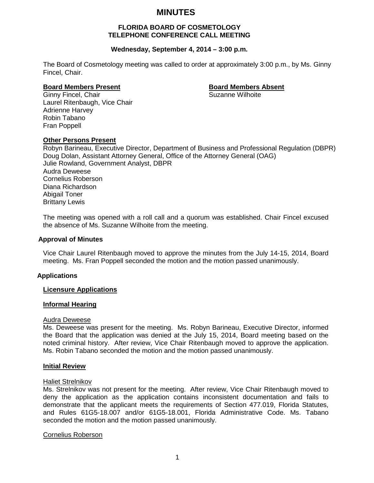# **MINUTES**

# **FLORIDA BOARD OF COSMETOLOGY TELEPHONE CONFERENCE CALL MEETING**

# **Wednesday, September 4, 2014 – 3:00 p.m.**

The Board of Cosmetology meeting was called to order at approximately 3:00 p.m., by Ms. Ginny Fincel, Chair.

**Board Members Present**<br>Ginny Fincel, Chair<br>**Ginny Fincel, Chair** Ginny Fincel, Chair Laurel Ritenbaugh, Vice Chair Adrienne Harvey Robin Tabano Fran Poppell

#### **Other Persons Present**

Robyn Barineau, Executive Director, Department of Business and Professional Regulation (DBPR) Doug Dolan, Assistant Attorney General, Office of the Attorney General (OAG) Julie Rowland, Government Analyst, DBPR Audra Deweese Cornelius Roberson Diana Richardson Abigail Toner Brittany Lewis

The meeting was opened with a roll call and a quorum was established. Chair Fincel excused the absence of Ms. Suzanne Wilhoite from the meeting.

#### **Approval of Minutes**

Vice Chair Laurel Ritenbaugh moved to approve the minutes from the July 14-15, 2014, Board meeting. Ms. Fran Poppell seconded the motion and the motion passed unanimously.

#### **Applications**

#### **Licensure Applications**

#### **Informal Hearing**

#### Audra Deweese

Ms. Deweese was present for the meeting. Ms. Robyn Barineau, Executive Director, informed the Board that the application was denied at the July 15, 2014, Board meeting based on the noted criminal history. After review, Vice Chair Ritenbaugh moved to approve the application. Ms. Robin Tabano seconded the motion and the motion passed unanimously.

#### **Initial Review**

#### Haliet Strelnikov

Ms. Strelnikov was not present for the meeting. After review, Vice Chair Ritenbaugh moved to deny the application as the application contains inconsistent documentation and fails to demonstrate that the applicant meets the requirements of Section 477.019, Florida Statutes, and Rules 61G5-18.007 and/or 61G5-18.001, Florida Administrative Code. Ms. Tabano seconded the motion and the motion passed unanimously.

#### Cornelius Roberson